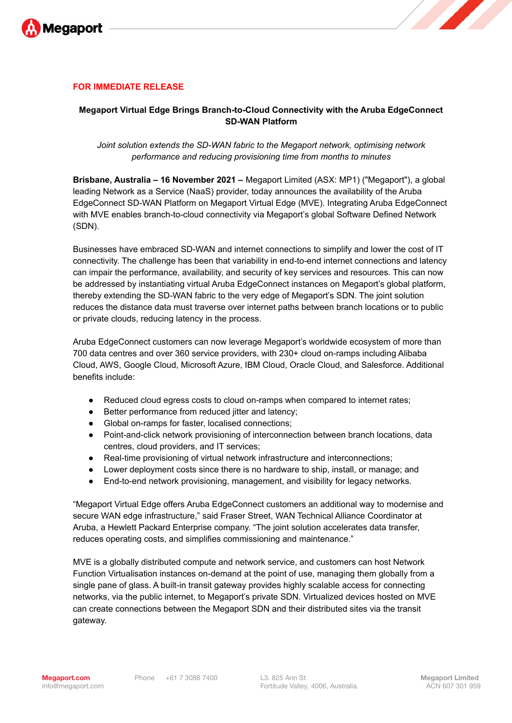

## **FOR IMMEDIATE RELEASE**

## **Megaport Virtual Edge Brings Branch-to-Cloud Connectivity with the Aruba EdgeConnect SD-WAN Platform**

## *Joint solution extends the SD-WAN fabric to the Megaport network, optimising network performance and reducing provisioning time from months to minutes*

**Brisbane, Australia – 16 November 2021 –** Megaport Limited (ASX: MP1) ("Megaport"), a global leading Network as a Service (NaaS) provider, today announces the availability of the Aruba EdgeConnect SD-WAN Platform on Megaport Virtual Edge (MVE). Integrating Aruba EdgeConnect with MVE enables branch-to-cloud connectivity via Megaport's global Software Defined Network (SDN).

Businesses have embraced SD-WAN and internet connections to simplify and lower the cost of IT connectivity. The challenge has been that variability in end-to-end internet connections and latency can impair the performance, availability, and security of key services and resources. This can now be addressed by instantiating virtual Aruba EdgeConnect instances on Megaport's global platform, thereby extending the SD-WAN fabric to the very edge of Megaport's SDN. The joint solution reduces the distance data must traverse over internet paths between branch locations or to public or private clouds, reducing latency in the process.

Aruba EdgeConnect customers can now leverage Megaport's worldwide ecosystem of more than 700 data centres and over 360 service providers, with 230+ cloud on-ramps including Alibaba Cloud, AWS, Google Cloud, Microsoft Azure, IBM Cloud, Oracle Cloud, and Salesforce. Additional benefits include:

- Reduced cloud egress costs to cloud on-ramps when compared to internet rates;
- Better performance from reduced jitter and latency;
- Global on-ramps for faster, localised connections;
- Point-and-click network provisioning of interconnection between branch locations, data centres, cloud providers, and IT services;
- Real-time provisioning of virtual network infrastructure and interconnections;
- Lower deployment costs since there is no hardware to ship, install, or manage; and
- End-to-end network provisioning, management, and visibility for legacy networks.

"Megaport Virtual Edge offers Aruba EdgeConnect customers an additional way to modernise and secure WAN edge infrastructure," said Fraser Street, WAN Technical Alliance Coordinator at Aruba, a Hewlett Packard Enterprise company. "The joint solution accelerates data transfer, reduces operating costs, and simplifies commissioning and maintenance."

MVE is a globally distributed compute and network service, and customers can host Network Function Virtualisation instances on-demand at the point of use, managing them globally from a single pane of glass. A built-in transit gateway provides highly scalable access for connecting networks, via the public internet, to Megaport's private SDN. Virtualized devices hosted on MVE can create connections between the Megaport SDN and their distributed sites via the transit gateway.